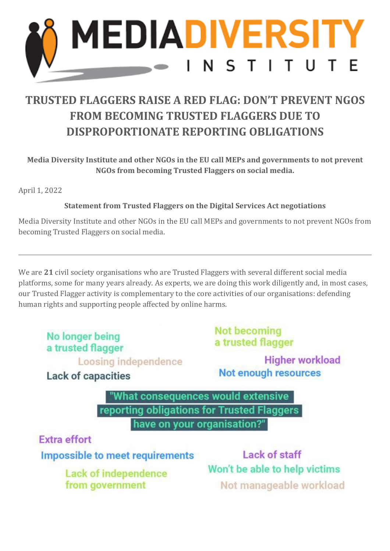

## **TRUSTED FLAGGERS RAISE A RED FLAG: DON'T PREVENT NGOS FROM BECOMING TRUSTED FLAGGERS DUE TO DISPROPORTIONATE REPORTING OBLIGATIONS**

**Media Diversity Institute and other NGOs in the EU call MEPs and governments to not prevent NGOs from becoming Trusted Flaggers on social media.** 

April 1, 2022

## **Statement from Trusted Flaggers on the Digital Services Act negotiations**

Media Diversity Institute and other NGOs in the EU call MEPs and governments to not prevent NGOs from becoming Trusted Flaggers on social media.

We are **21** civil society organisations who are Trusted Flaggers with several different social media platforms, some for many years already. As experts, we are doing this work diligently and, in most cases, our Trusted Flagger activity is complementary to the core activities of our organisations: defending human rights and supporting people affected by online harms.

No longer being a trusted flagger Loosing independence

**Lack of capacities** 

**Not becoming** a trusted flagger

**Higher workload** Not enough resources

"What consequences would extensive reporting obligations for Trusted Flaggers have on your organisation?"

**Extra effort** 

**Impossible to meet requirements** 

Lack of independence from government

Lack of staff Won't be able to help victims Not manageable workload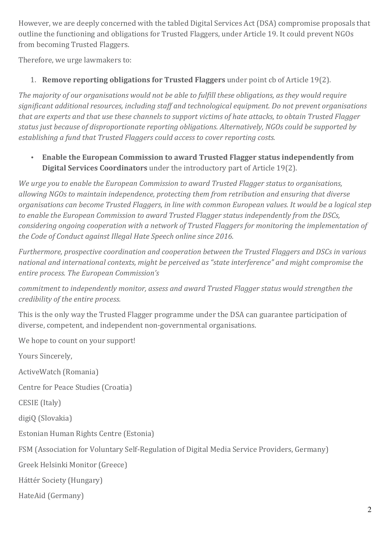However, we are deeply concerned with the tabled Digital Services Act (DSA) compromise proposals that outline the functioning and obligations for Trusted Flaggers, under Article 19. It could prevent NGOs from becoming Trusted Flaggers.

Therefore, we urge lawmakers to:

## 1. **Remove reporting obligations for Trusted Flaggers** under point cb of Article 19(2).

*The majority of our organisations would not be able to fulfill these obligations, as they would require significant additional resources, including staff and technological equipment. Do not prevent organisations that are experts and that use these channels to support victims of hate attacks, to obtain Trusted Flagger status just because of disproportionate reporting obligations. Alternatively, NGOs could be supported by establishing a fund that Trusted Flaggers could access to cover reporting costs.*

• **Enable the European Commission to award Trusted Flagger status independently from Digital Services Coordinators** under the introductory part of Article 19(2).

*We urge you to enable the European Commission to award Trusted Flagger status to organisations, allowing NGOs to maintain independence, protecting them from retribution and ensuring that diverse organisations can become Trusted Flaggers, in line with common European values. It would be a logical step to enable the European Commission to award Trusted Flagger status independently from the DSCs, considering ongoing cooperation with a network of Trusted Flaggers for monitoring the implementation of the Code of Conduct against Illegal Hate Speech online since 2016.*

*Furthermore, prospective coordination and cooperation between the Trusted Flaggers and DSCs in various national and international contexts, might be perceived as "state interference" and might compromise the entire process. The European Commission's*

*commitment to independently monitor, assess and award Trusted Flagger status would strengthen the credibility of the entire process.*

This is the only way the Trusted Flagger programme under the DSA can guarantee participation of diverse, competent, and independent non-governmental organisations.

We hope to count on your support!

Yours Sincerely,

ActiveWatch (Romania)

Centre for Peace Studies (Croatia)

CESIE (Italy)

digiQ (Slovakia)

Estonian Human Rights Centre (Estonia)

FSM (Association for Voluntary Self-Regulation of Digital Media Service Providers, Germany)

Greek Helsinki Monitor (Greece)

Háttér Society (Hungary)

HateAid (Germany)